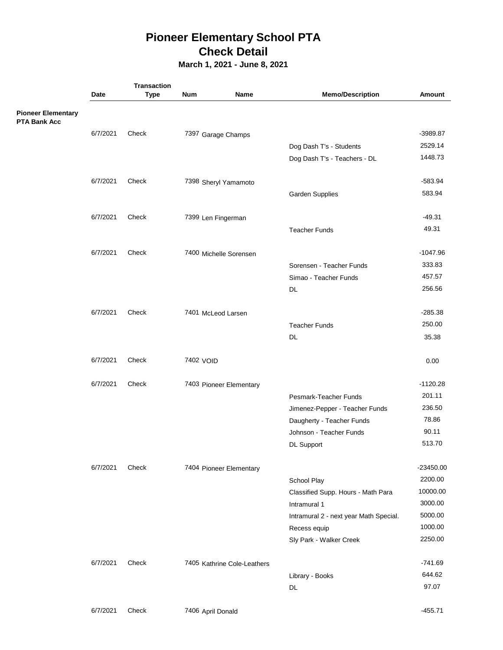## **Pioneer Elementary School PTA Check Detail**

**March 1, 2021 - June 8, 2021**

|                                                  | <b>Transaction</b> |             |                   |                             |                                        |            |
|--------------------------------------------------|--------------------|-------------|-------------------|-----------------------------|----------------------------------------|------------|
|                                                  | Date               | <b>Type</b> | <b>Num</b>        | Name                        | <b>Memo/Description</b>                | Amount     |
| <b>Pioneer Elementary</b><br><b>PTA Bank Acc</b> |                    |             |                   |                             |                                        |            |
|                                                  | 6/7/2021           | Check       |                   | 7397 Garage Champs          |                                        | -3989.87   |
|                                                  |                    |             |                   |                             | Dog Dash T's - Students                | 2529.14    |
|                                                  |                    |             |                   |                             | Dog Dash T's - Teachers - DL           | 1448.73    |
|                                                  | 6/7/2021           | Check       |                   | 7398 Sheryl Yamamoto        |                                        | $-583.94$  |
|                                                  |                    |             |                   |                             | Garden Supplies                        | 583.94     |
|                                                  | 6/7/2021           | Check       |                   | 7399 Len Fingerman          |                                        | $-49.31$   |
|                                                  |                    |             |                   |                             | <b>Teacher Funds</b>                   | 49.31      |
|                                                  | 6/7/2021           | Check       |                   | 7400 Michelle Sorensen      |                                        | $-1047.96$ |
|                                                  |                    |             |                   |                             | Sorensen - Teacher Funds               | 333.83     |
|                                                  |                    |             |                   |                             | Simao - Teacher Funds                  | 457.57     |
|                                                  |                    |             |                   |                             | DL                                     | 256.56     |
|                                                  | 6/7/2021           | Check       |                   | 7401 McLeod Larsen          |                                        | $-285.38$  |
|                                                  |                    |             |                   |                             | <b>Teacher Funds</b>                   | 250.00     |
|                                                  |                    |             |                   |                             | <b>DL</b>                              | 35.38      |
|                                                  | 6/7/2021           | Check       | 7402 VOID         |                             |                                        | 0.00       |
|                                                  | 6/7/2021           | Check       |                   | 7403 Pioneer Elementary     |                                        | $-1120.28$ |
|                                                  |                    |             |                   |                             | Pesmark-Teacher Funds                  | 201.11     |
|                                                  |                    |             |                   |                             | Jimenez-Pepper - Teacher Funds         | 236.50     |
|                                                  |                    |             |                   |                             | Daugherty - Teacher Funds              | 78.86      |
|                                                  |                    |             |                   |                             | Johnson - Teacher Funds                | 90.11      |
|                                                  |                    |             |                   |                             | DL Support                             | 513.70     |
|                                                  | 6/7/2021           | Check       |                   | 7404 Pioneer Elementary     |                                        | -23450.00  |
|                                                  |                    |             |                   |                             | School Play                            | 2200.00    |
|                                                  |                    |             |                   |                             | Classified Supp. Hours - Math Para     | 10000.00   |
|                                                  |                    |             |                   |                             | Intramural 1                           | 3000.00    |
|                                                  |                    |             |                   |                             | Intramural 2 - next year Math Special. | 5000.00    |
|                                                  |                    |             |                   |                             | Recess equip                           | 1000.00    |
|                                                  |                    |             |                   |                             | Sly Park - Walker Creek                | 2250.00    |
|                                                  | 6/7/2021           | Check       |                   | 7405 Kathrine Cole-Leathers |                                        | $-741.69$  |
|                                                  |                    |             |                   |                             | Library - Books                        | 644.62     |
|                                                  |                    |             |                   |                             | DL                                     | 97.07      |
|                                                  | 6/7/2021           | Check       | 7406 April Donald |                             |                                        | $-455.71$  |